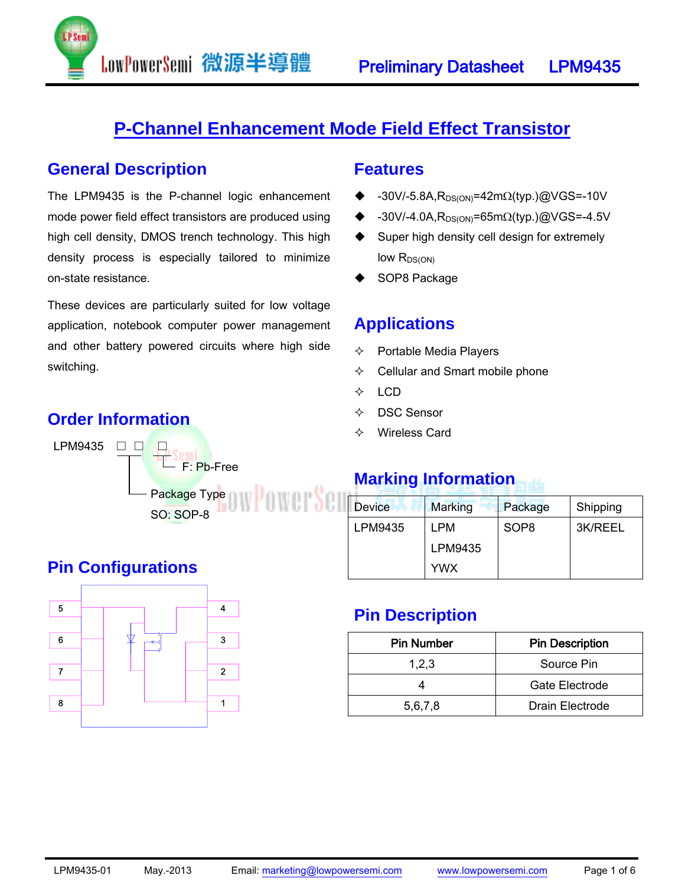

## **P-Channel Enhancement Mode Field Effect Transistor**

#### **General Description**

The LPM9435 is the P-channel logic enhancement mode power field effect transistors are produced using high cell density, DMOS trench technology. This high density process is especially tailored to minimize on-state resistance.

LowPowerSemi 微源半導體

These devices are particularly suited for low voltage application, notebook computer power management and other battery powered circuits where high side switching.

#### **Features**

- -30V/-5.8A, R<sub>DS(ON)</sub>=42mΩ(typ.)@VGS=-10V
- $\triangleq$  -30V/-4.0A, R<sub>DS(ON)</sub>=65m $\Omega$ (typ.)@VGS=-4.5V
- ◆ Super high density cell design for extremely  $low R_{DS(ON)}$
- SOP8 Package

## **Applications**

- $\Leftrightarrow$  Portable Media Players
- $\Leftrightarrow$  Cellular and Smart mobile phone
- $\div$  LCD
- DSC Sensor
- Wireless Card

## **Marking Information**

| <b>Device</b> | <b>Marking</b> | Package          | Shipping |
|---------------|----------------|------------------|----------|
| LPM9435       | LPM            | SOP <sub>8</sub> | 3K/REEL  |
|               | LPM9435        |                  |          |
|               | <b>YWX</b>     |                  |          |

### **Pin Description**

| <b>Pin Number</b> | <b>Pin Description</b> |  |  |
|-------------------|------------------------|--|--|
| 1,2,3             | Source Pin             |  |  |
|                   | Gate Electrode         |  |  |
| 5,6,7,8           | Drain Electrode        |  |  |

## **Pin Configurations**



## **Order Information**  LPM9435 □ □ □

Package Type

SO: SOP-8

F: Pb-Free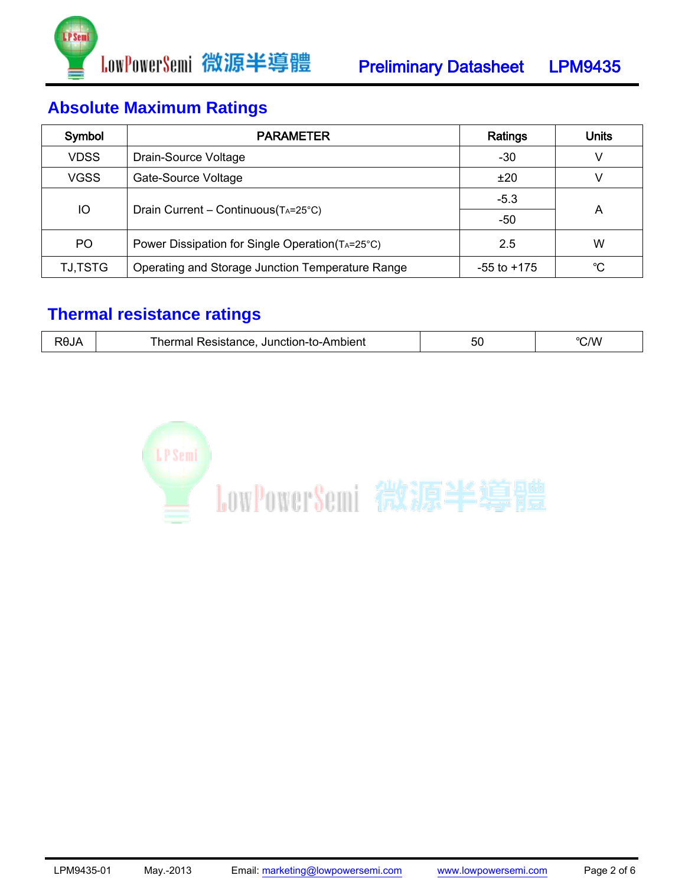

# **Absolute Maximum Ratings**

| Symbol         | <b>PARAMETER</b>                                 | Ratings         | Units |  |
|----------------|--------------------------------------------------|-----------------|-------|--|
| <b>VDSS</b>    | Drain-Source Voltage                             | -30             |       |  |
| <b>VGSS</b>    | Gate-Source Voltage                              | ±20             |       |  |
|                |                                                  | $-5.3$          |       |  |
| IO             | Drain Current - Continuous (TA=25°C)             | -50             | A     |  |
| PO.            | Power Dissipation for Single Operation (TA=25°C) | 2.5             | W     |  |
| <b>TJ,TSTG</b> | Operating and Storage Junction Temperature Range | $-55$ to $+175$ | °C.   |  |

## **Thermal resistance ratings**

| 00.<br>Junction-<br>mplen.<br>ப<br>siance<br>.JU | $\mathcal{N}$ |
|--------------------------------------------------|---------------|
|--------------------------------------------------|---------------|

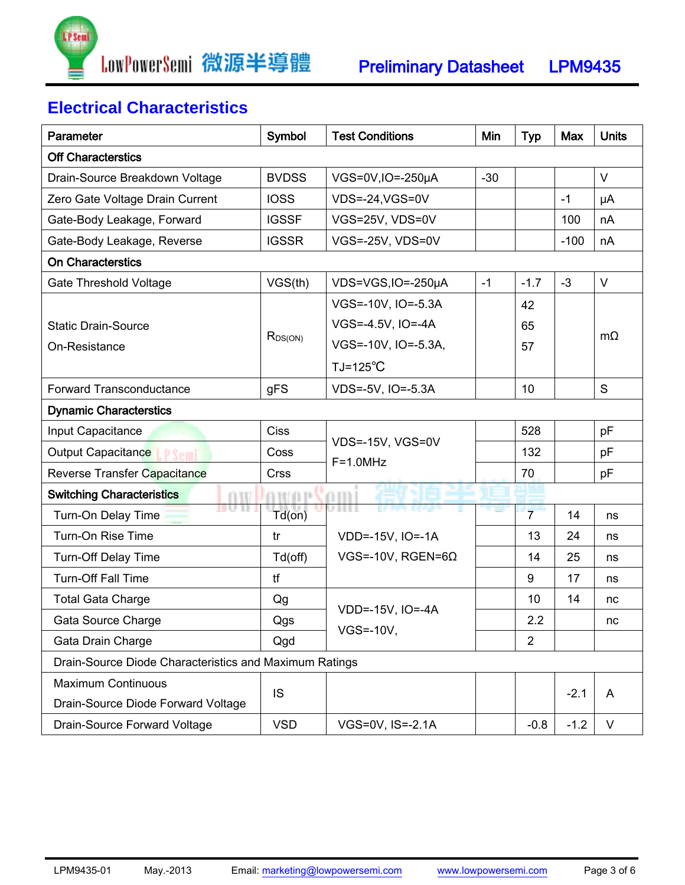

# **Electrical Characteristics**

| <b>Parameter</b>                                       | Symbol       | <b>Test Conditions</b>               | Min   | <b>Typ</b>     | Max    | <b>Units</b> |
|--------------------------------------------------------|--------------|--------------------------------------|-------|----------------|--------|--------------|
| <b>Off Characterstics</b>                              |              |                                      |       |                |        |              |
| Drain-Source Breakdown Voltage                         | <b>BVDSS</b> | VGS=0V,IO=-250µA                     | $-30$ |                |        | $\vee$       |
| Zero Gate Voltage Drain Current                        | <b>IOSS</b>  | VDS=-24, VGS=0V                      |       |                | $-1$   | μA           |
| Gate-Body Leakage, Forward                             | <b>IGSSF</b> | VGS=25V, VDS=0V                      |       |                | 100    | nA           |
| Gate-Body Leakage, Reverse                             | <b>IGSSR</b> | VGS=-25V, VDS=0V                     |       |                | $-100$ | nA           |
| <b>On Characterstics</b>                               |              |                                      |       |                |        |              |
| <b>Gate Threshold Voltage</b>                          | VGS(th)      | VDS=VGS, IO=-250µA                   | $-1$  | $-1.7$         | $-3$   | $\vee$       |
|                                                        |              | VGS=-10V, IO=-5.3A                   |       | 42             |        |              |
| <b>Static Drain-Source</b>                             |              | VGS=-4.5V, IO=-4A                    |       | 65             |        |              |
| On-Resistance                                          | $R_{DS(ON)}$ | VGS=-10V, IO=-5.3A,                  |       | 57             |        | $m\Omega$    |
|                                                        |              | $TJ=125^{\circ}C$                    |       |                |        |              |
| <b>Forward Transconductance</b>                        | gFS          | VDS=-5V, IO=-5.3A                    |       | 10             |        | S            |
| <b>Dynamic Characterstics</b>                          |              |                                      |       |                |        |              |
| Input Capacitance                                      | <b>Ciss</b>  |                                      |       | 528            |        | pF           |
| Output Capacitance<br><b>P Semi</b>                    | Coss         | VDS=-15V, VGS=0V<br>$F=1.0MHz$       |       | 132            |        | pF           |
| Reverse Transfer Capacitance                           | <b>Crss</b>  |                                      |       | 70             |        | pF           |
| v po<br><b>Switching Characteristics</b>               |              |                                      |       |                |        |              |
| Turn-On Delay Time                                     | Td(on)       | ,,,,,                                |       | $\overline{7}$ | 14     | ns           |
| Turn-On Rise Time                                      | tr           | VDD=-15V, IO=-1A                     |       | 13             | 24     | ns           |
| Turn-Off Delay Time                                    | Td(off)      | VGS=-10V, RGEN=6 $\Omega$            |       | 14             | 25     | ns           |
| <b>Turn-Off Fall Time</b>                              | tf           |                                      |       | 9              | 17     | ns           |
| <b>Total Gata Charge</b>                               | Qg           |                                      |       | 10             | 14     | nc           |
| Gata Source Charge                                     | Qgs          | VDD=-15V, IO=-4A<br><b>VGS=-10V,</b> |       | 2.2            |        | nc           |
| Gata Drain Charge                                      | Qgd          |                                      |       | $\overline{2}$ |        |              |
| Drain-Source Diode Characteristics and Maximum Ratings |              |                                      |       |                |        |              |
| <b>Maximum Continuous</b>                              | <b>IS</b>    |                                      |       |                |        |              |
| Drain-Source Diode Forward Voltage                     |              |                                      |       |                | $-2.1$ | A            |
| Drain-Source Forward Voltage                           | <b>VSD</b>   | VGS=0V, IS=-2.1A                     |       | $-0.8$         | $-1.2$ | V            |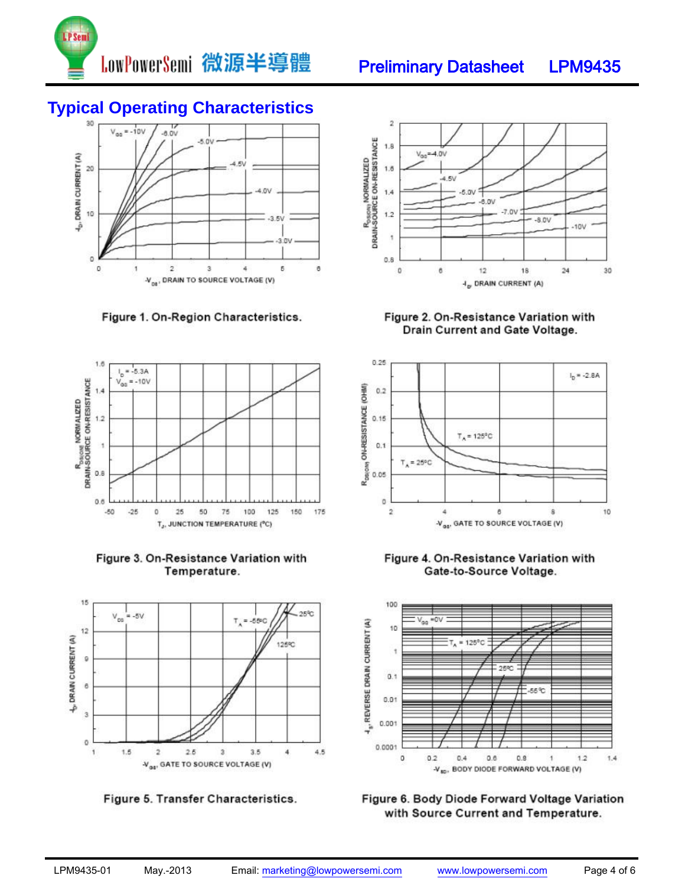

# **Typical Operating Characteristics**



Figure 1. On-Region Characteristics.



Figure 3. On-Resistance Variation with Temperature.



Figure 5. Transfer Characteristics.



Figure 2. On-Resistance Variation with Drain Current and Gate Voltage.







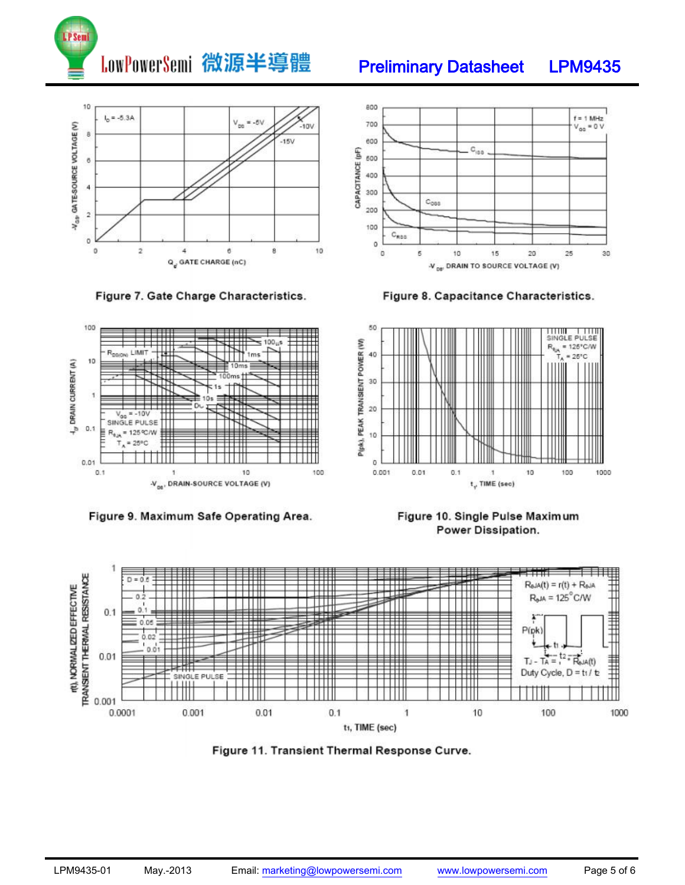







Preliminary Datasheet LPM9435



Figure 8. Capacitance Characteristics.



DRAIN CURRENT (A)

구

Figure 9. Maximum Safe Operating Area.







Figure 11. Transient Thermal Response Curve.